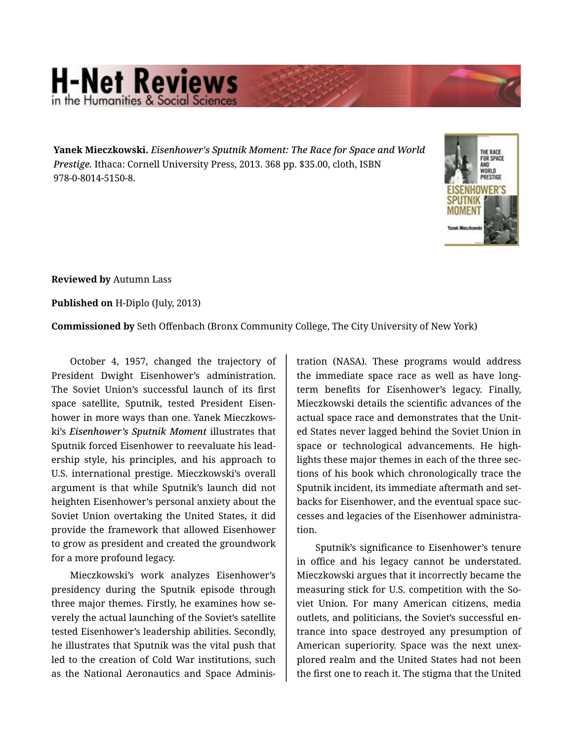## **H-Net Reviews** in the Humanities & Social S

**Yanek Mieczkowski.** *Eisenhower's Sputnik Moment: The Race for Space and World Prestige.* Ithaca: Cornell University Press, 2013. 368 pp. \$35.00, cloth, ISBN 978-0-8014-5150-8.



**Reviewed by** Autumn Lass

**Published on** H-Diplo (July, 2013)

**Commissioned by** Seth Offenbach (Bronx Community College, The City University of New York)

October 4, 1957, changed the trajectory of President Dwight Eisenhower's administration. The Soviet Union's successful launch of its first space satellite, Sputnik, tested President Eisen‐ hower in more ways than one. Yanek Mieczkows‐ ki's *Eisenhower's Sputnik Moment* illustrates that Sputnik forced Eisenhower to reevaluate his lead‐ ership style, his principles, and his approach to U.S. international prestige. Mieczkowski's overall argument is that while Sputnik's launch did not heighten Eisenhower's personal anxiety about the Soviet Union overtaking the United States, it did provide the framework that allowed Eisenhower to grow as president and created the groundwork for a more profound legacy.

Mieczkowski's work analyzes Eisenhower's presidency during the Sputnik episode through three major themes. Firstly, he examines how se‐ verely the actual launching of the Soviet's satellite tested Eisenhower's leadership abilities. Secondly, he illustrates that Sputnik was the vital push that led to the creation of Cold War institutions, such as the National Aeronautics and Space Adminis‐

tration (NASA). These programs would address the immediate space race as well as have longterm benefits for Eisenhower's legacy. Finally, Mieczkowski details the scientific advances of the actual space race and demonstrates that the Unit‐ ed States never lagged behind the Soviet Union in space or technological advancements. He highlights these major themes in each of the three sec‐ tions of his book which chronologically trace the Sputnik incident, its immediate aftermath and set‐ backs for Eisenhower, and the eventual space suc‐ cesses and legacies of the Eisenhower administra‐ tion.

Sputnik's significance to Eisenhower's tenure in office and his legacy cannot be understated. Mieczkowski argues that it incorrectly became the measuring stick for U.S. competition with the So‐ viet Union. For many American citizens, media outlets, and politicians, the Soviet's successful en‐ trance into space destroyed any presumption of American superiority. Space was the next unex‐ plored realm and the United States had not been the first one to reach it. The stigma that the United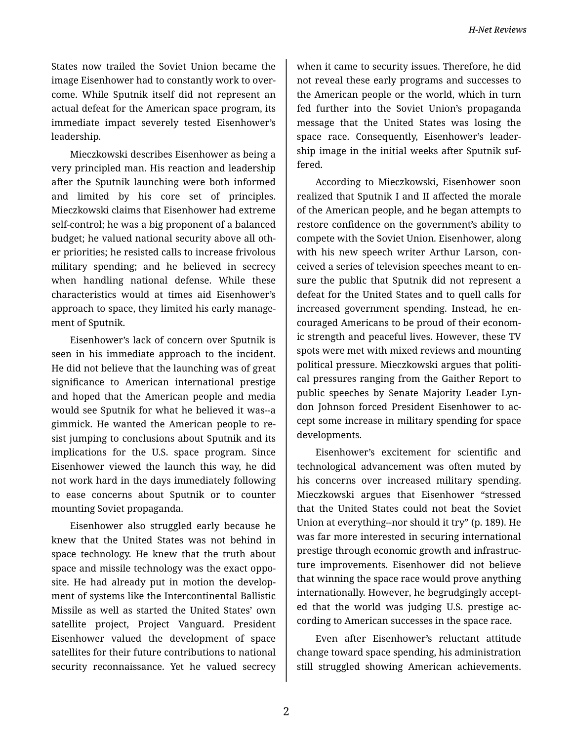States now trailed the Soviet Union became the image Eisenhower had to constantly work to over‐ come. While Sputnik itself did not represent an actual defeat for the American space program, its immediate impact severely tested Eisenhower's leadership.

Mieczkowski describes Eisenhower as being a very principled man. His reaction and leadership after the Sputnik launching were both informed and limited by his core set of principles. Mieczkowski claims that Eisenhower had extreme self-control; he was a big proponent of a balanced budget; he valued national security above all oth‐ er priorities; he resisted calls to increase frivolous military spending; and he believed in secrecy when handling national defense. While these characteristics would at times aid Eisenhower's approach to space, they limited his early manage‐ ment of Sputnik.

Eisenhower's lack of concern over Sputnik is seen in his immediate approach to the incident. He did not believe that the launching was of great significance to American international prestige and hoped that the American people and media would see Sputnik for what he believed it was--a gimmick. He wanted the American people to re‐ sist jumping to conclusions about Sputnik and its implications for the U.S. space program. Since Eisenhower viewed the launch this way, he did not work hard in the days immediately following to ease concerns about Sputnik or to counter mounting Soviet propaganda.

Eisenhower also struggled early because he knew that the United States was not behind in space technology. He knew that the truth about space and missile technology was the exact oppo‐ site. He had already put in motion the develop‐ ment of systems like the Intercontinental Ballistic Missile as well as started the United States' own satellite project, Project Vanguard. President Eisenhower valued the development of space satellites for their future contributions to national security reconnaissance. Yet he valued secrecy

when it came to security issues. Therefore, he did not reveal these early programs and successes to the American people or the world, which in turn fed further into the Soviet Union's propaganda message that the United States was losing the space race. Consequently, Eisenhower's leader‐ ship image in the initial weeks after Sputnik suf‐ fered.

According to Mieczkowski, Eisenhower soon realized that Sputnik I and II affected the morale of the American people, and he began attempts to restore confidence on the government's ability to compete with the Soviet Union. Eisenhower, along with his new speech writer Arthur Larson, conceived a series of television speeches meant to en‐ sure the public that Sputnik did not represent a defeat for the United States and to quell calls for increased government spending. Instead, he en‐ couraged Americans to be proud of their econom‐ ic strength and peaceful lives. However, these TV spots were met with mixed reviews and mounting political pressure. Mieczkowski argues that politi‐ cal pressures ranging from the Gaither Report to public speeches by Senate Majority Leader Lyn‐ don Johnson forced President Eisenhower to ac‐ cept some increase in military spending for space developments.

Eisenhower's excitement for scientific and technological advancement was often muted by his concerns over increased military spending. Mieczkowski argues that Eisenhower "stressed that the United States could not beat the Soviet Union at everything--nor should it try" (p. 189). He was far more interested in securing international prestige through economic growth and infrastruc‐ ture improvements. Eisenhower did not believe that winning the space race would prove anything internationally. However, he begrudgingly accept‐ ed that the world was judging U.S. prestige ac‐ cording to American successes in the space race.

Even after Eisenhower's reluctant attitude change toward space spending, his administration still struggled showing American achievements.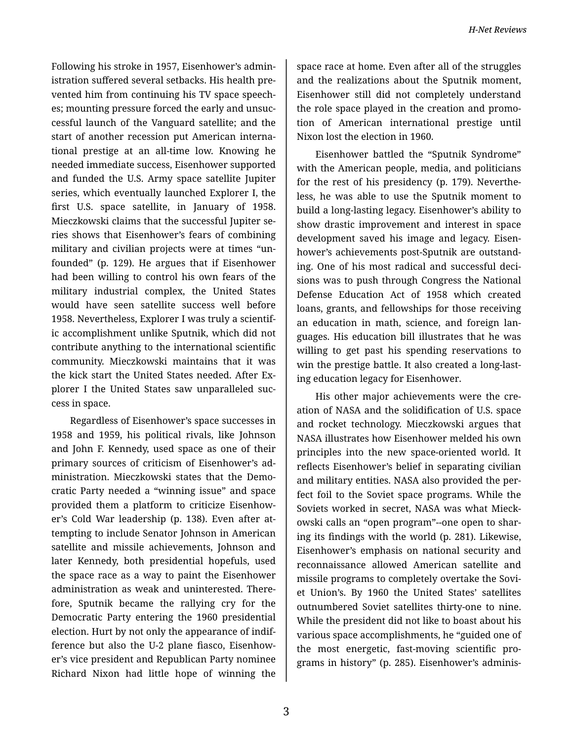Following his stroke in 1957, Eisenhower's admin‐ istration suffered several setbacks. His health pre‐ vented him from continuing his TV space speech‐ es; mounting pressure forced the early and unsuc‐ cessful launch of the Vanguard satellite; and the start of another recession put American interna‐ tional prestige at an all-time low. Knowing he needed immediate success, Eisenhower supported and funded the U.S. Army space satellite Jupiter series, which eventually launched Explorer I, the first U.S. space satellite, in January of 1958. Mieczkowski claims that the successful Jupiter se‐ ries shows that Eisenhower's fears of combining military and civilian projects were at times "un‐ founded" (p. 129). He argues that if Eisenhower had been willing to control his own fears of the military industrial complex, the United States would have seen satellite success well before 1958. Nevertheless, Explorer I was truly a scientif‐ ic accomplishment unlike Sputnik, which did not contribute anything to the international scientific community. Mieczkowski maintains that it was the kick start the United States needed. After Ex‐ plorer I the United States saw unparalleled suc‐ cess in space.

Regardless of Eisenhower's space successes in 1958 and 1959, his political rivals, like Johnson and John F. Kennedy, used space as one of their primary sources of criticism of Eisenhower's ad‐ ministration. Mieczkowski states that the Demo‐ cratic Party needed a "winning issue" and space provided them a platform to criticize Eisenhow‐ er's Cold War leadership (p. 138). Even after at‐ tempting to include Senator Johnson in American satellite and missile achievements, Johnson and later Kennedy, both presidential hopefuls, used the space race as a way to paint the Eisenhower administration as weak and uninterested. There‐ fore, Sputnik became the rallying cry for the Democratic Party entering the 1960 presidential election. Hurt by not only the appearance of indif‐ ference but also the U-2 plane fiasco, Eisenhow‐ er's vice president and Republican Party nominee Richard Nixon had little hope of winning the

space race at home. Even after all of the struggles and the realizations about the Sputnik moment, Eisenhower still did not completely understand the role space played in the creation and promo‐ tion of American international prestige until Nixon lost the election in 1960.

Eisenhower battled the "Sputnik Syndrome" with the American people, media, and politicians for the rest of his presidency (p. 179). Neverthe‐ less, he was able to use the Sputnik moment to build a long-lasting legacy. Eisenhower's ability to show drastic improvement and interest in space development saved his image and legacy. Eisen‐ hower's achievements post-Sputnik are outstand‐ ing. One of his most radical and successful deci‐ sions was to push through Congress the National Defense Education Act of 1958 which created loans, grants, and fellowships for those receiving an education in math, science, and foreign lan‐ guages. His education bill illustrates that he was willing to get past his spending reservations to win the prestige battle. It also created a long-last‐ ing education legacy for Eisenhower.

His other major achievements were the cre‐ ation of NASA and the solidification of U.S. space and rocket technology. Mieczkowski argues that NASA illustrates how Eisenhower melded his own principles into the new space-oriented world. It reflects Eisenhower's belief in separating civilian and military entities. NASA also provided the per‐ fect foil to the Soviet space programs. While the Soviets worked in secret, NASA was what Mieck‐ owski calls an "open program"--one open to shar‐ ing its findings with the world (p. 281). Likewise, Eisenhower's emphasis on national security and reconnaissance allowed American satellite and missile programs to completely overtake the Sovi‐ et Union's. By 1960 the United States' satellites outnumbered Soviet satellites thirty-one to nine. While the president did not like to boast about his various space accomplishments, he "guided one of the most energetic, fast-moving scientific pro‐ grams in history" (p. 285). Eisenhower's adminis‐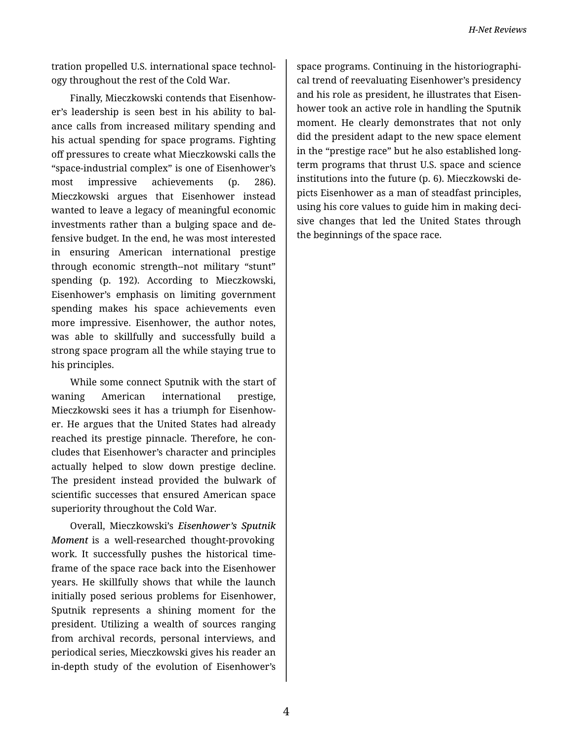tration propelled U.S. international space technol‐ ogy throughout the rest of the Cold War.

Finally, Mieczkowski contends that Eisenhow‐ er's leadership is seen best in his ability to bal‐ ance calls from increased military spending and his actual spending for space programs. Fighting off pressures to create what Mieczkowski calls the "space-industrial complex" is one of Eisenhower's most impressive achievements (p. 286). Mieczkowski argues that Eisenhower instead wanted to leave a legacy of meaningful economic investments rather than a bulging space and de‐ fensive budget. In the end, he was most interested in ensuring American international prestige through economic strength--not military "stunt" spending (p. 192). According to Mieczkowski, Eisenhower's emphasis on limiting government spending makes his space achievements even more impressive. Eisenhower, the author notes, was able to skillfully and successfully build a strong space program all the while staying true to his principles.

While some connect Sputnik with the start of waning American international prestige, Mieczkowski sees it has a triumph for Eisenhow‐ er. He argues that the United States had already reached its prestige pinnacle. Therefore, he con‐ cludes that Eisenhower's character and principles actually helped to slow down prestige decline. The president instead provided the bulwark of scientific successes that ensured American space superiority throughout the Cold War.

Overall, Mieczkowski's *Eisenhower's Sputnik Moment* is a well-researched thought-provoking work. It successfully pushes the historical time‐ frame of the space race back into the Eisenhower years. He skillfully shows that while the launch initially posed serious problems for Eisenhower, Sputnik represents a shining moment for the president. Utilizing a wealth of sources ranging from archival records, personal interviews, and periodical series, Mieczkowski gives his reader an in-depth study of the evolution of Eisenhower's

space programs. Continuing in the historiographi‐ cal trend of reevaluating Eisenhower's presidency and his role as president, he illustrates that Eisen‐ hower took an active role in handling the Sputnik moment. He clearly demonstrates that not only did the president adapt to the new space element in the "prestige race" but he also established longterm programs that thrust U.S. space and science institutions into the future (p. 6). Mieczkowski de‐ picts Eisenhower as a man of steadfast principles, using his core values to guide him in making deci‐ sive changes that led the United States through the beginnings of the space race.